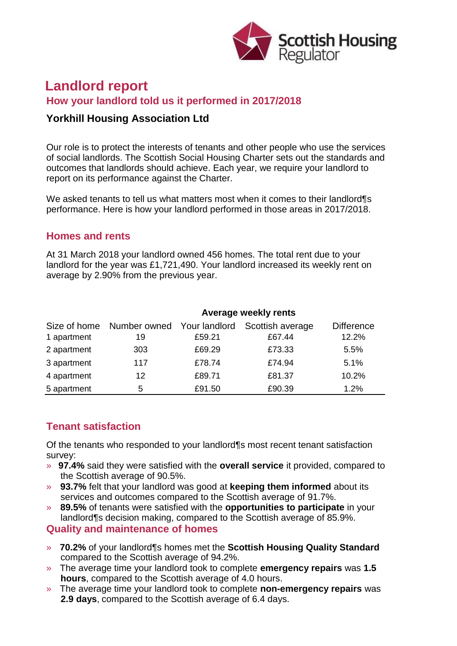

# **Landlord report How your landlord told us it performed in 2017/2018**

# **Yorkhill Housing Association Ltd**

Our role is to protect the interests of tenants and other people who use the services of social landlords. The Scottish Social Housing Charter sets out the standards and outcomes that landlords should achieve. Each year, we require your landlord to report on its performance against the Charter.

We asked tenants to tell us what matters most when it comes to their landlord¶s performance. Here is how your landlord performed in those areas in 2017/2018.

#### **Homes and rents**

At 31 March 2018 your landlord owned 456 homes. The total rent due to your landlord for the year was £1,721,490. Your landlord increased its weekly rent on average by 2.90% from the previous year.

| 1 apartment | <b>Average weekly rents</b>                   |        |                            |                            |
|-------------|-----------------------------------------------|--------|----------------------------|----------------------------|
|             | Size of home Number owned Your landlord<br>19 | £59.21 | Scottish average<br>£67.44 | <b>Difference</b><br>12.2% |
| 2 apartment | 303                                           | £69.29 | £73.33                     | 5.5%                       |
| 3 apartment | 117                                           | £78.74 | £74.94                     | 5.1%                       |
| 4 apartment | 12                                            | £89.71 | £81.37                     | 10.2%                      |
| 5 apartment | 5                                             | £91.50 | £90.39                     | 1.2%                       |

### **Tenant satisfaction**

Of the tenants who responded to your landlord¶s most recent tenant satisfaction survey:

- » **97.4%** said they were satisfied with the **overall service** it provided, compared to the Scottish average of 90.5%.
- » **93.7%** felt that your landlord was good at **keeping them informed** about its services and outcomes compared to the Scottish average of 91.7%.
- » **89.5%** of tenants were satisfied with the **opportunities to participate** in your landlord¶s decision making, compared to the Scottish average of 85.9%.

#### **Quality and maintenance of homes**

- » **70.2%** of your landlord¶s homes met the **Scottish Housing Quality Standard** compared to the Scottish average of 94.2%.
- » The average time your landlord took to complete **emergency repairs** was **1.5 hours**, compared to the Scottish average of 4.0 hours.
- » The average time your landlord took to complete **non-emergency repairs** was **2.9 days**, compared to the Scottish average of 6.4 days.